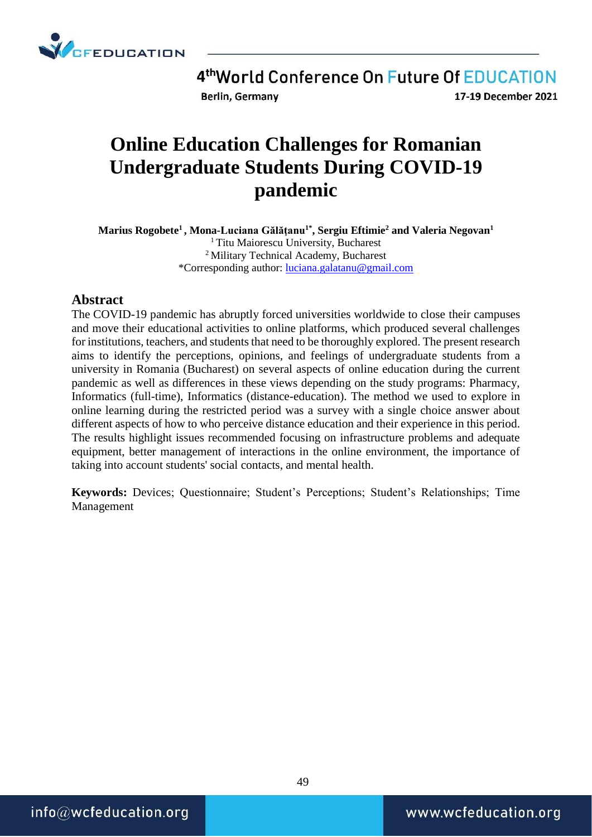

4th World Conference On Future Of EDUCATION Berlin, Germany 17-19 December 2021

# **Online Education Challenges for Romanian Undergraduate Students During COVID-19 pandemic**

**Marius Rogobete<sup>1</sup> , Mona-Luciana Gălăţanu1\* , Sergiu Eftimie<sup>2</sup> and Valeria Negovan<sup>1</sup>** <sup>1</sup> Titu Maiorescu University, Bucharest <sup>2</sup> Military Technical Academy, Bucharest \*Corresponding author: [luciana.galatanu@gmail.com](mailto:luciana.galatanu@gmail.com)

#### **Abstract**

The COVID-19 pandemic has abruptly forced universities worldwide to close their campuses and move their educational activities to online platforms, which produced several challenges for institutions, teachers, and students that need to be thoroughly explored. The present research aims to identify the perceptions, opinions, and feelings of undergraduate students from a university in Romania (Bucharest) on several aspects of online education during the current pandemic as well as differences in these views depending on the study programs: Pharmacy, Informatics (full-time), Informatics (distance-education). The method we used to explore in online learning during the restricted period was a survey with a single choice answer about different aspects of how to who perceive distance education and their experience in this period. The results highlight issues recommended focusing on infrastructure problems and adequate equipment, better management of interactions in the online environment, the importance of taking into account students' social contacts, and mental health.

**Keywords:** Devices; Questionnaire; Student's Perceptions; Student's Relationships; Time Management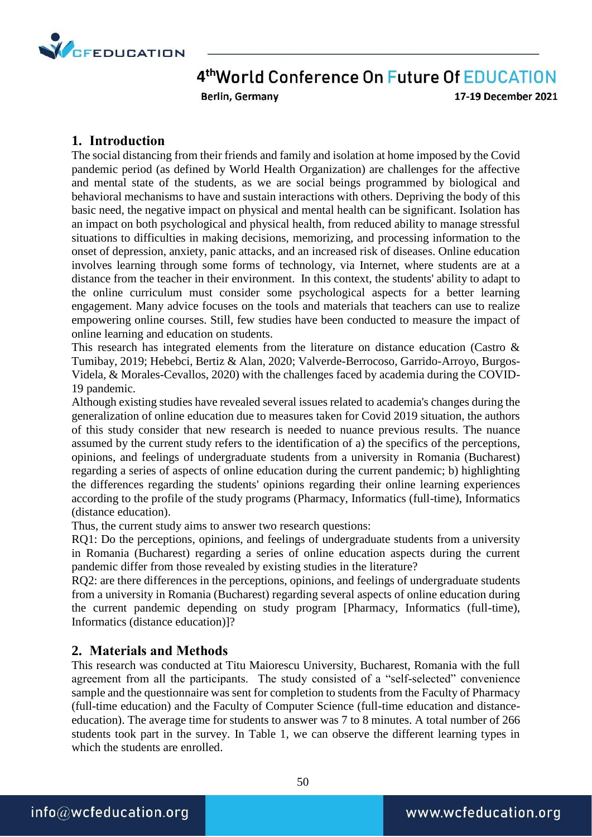

Berlin, Germany

17-19 December 2021

#### **1. Introduction**

The social distancing from their friends and family and isolation at home imposed by the Covid pandemic period (as defined by World Health Organization) are challenges for the affective and mental state of the students, as we are social beings programmed by biological and behavioral mechanisms to have and sustain interactions with others. Depriving the body of this basic need, the negative impact on physical and mental health can be significant. Isolation has an impact on both psychological and physical health, from reduced ability to manage stressful situations to difficulties in making decisions, memorizing, and processing information to the onset of depression, anxiety, panic attacks, and an increased risk of diseases. Online education involves learning through some forms of technology, via Internet, where students are at a distance from the teacher in their environment. In this context, the students' ability to adapt to the online curriculum must consider some psychological aspects for a better learning engagement. Many advice focuses on the tools and materials that teachers can use to realize empowering online courses. Still, few studies have been conducted to measure the impact of online learning and education on students.

This research has integrated elements from the literature on distance education (Castro & Tumibay, 2019; Hebebci, Bertiz & Alan, 2020; Valverde-Berrocoso, Garrido-Arroyo, Burgos-Videla, & Morales-Cevallos, 2020) with the challenges faced by academia during the COVID-19 pandemic.

Although existing studies have revealed several issues related to academia's changes during the generalization of online education due to measures taken for Covid 2019 situation, the authors of this study consider that new research is needed to nuance previous results. The nuance assumed by the current study refers to the identification of a) the specifics of the perceptions, opinions, and feelings of undergraduate students from a university in Romania (Bucharest) regarding a series of aspects of online education during the current pandemic; b) highlighting the differences regarding the students' opinions regarding their online learning experiences according to the profile of the study programs (Pharmacy, Informatics (full-time), Informatics (distance education).

Thus, the current study aims to answer two research questions:

RQ1: Do the perceptions, opinions, and feelings of undergraduate students from a university in Romania (Bucharest) regarding a series of online education aspects during the current pandemic differ from those revealed by existing studies in the literature?

RQ2: are there differences in the perceptions, opinions, and feelings of undergraduate students from a university in Romania (Bucharest) regarding several aspects of online education during the current pandemic depending on study program [Pharmacy, Informatics (full-time), Informatics (distance education)]?

#### **2. Materials and Methods**

This research was conducted at Titu Maiorescu University, Bucharest, Romania with the full agreement from all the participants. The study consisted of a "self-selected" convenience sample and the questionnaire was sent for completion to students from the Faculty of Pharmacy (full-time education) and the Faculty of Computer Science (full-time education and distanceeducation). The average time for students to answer was 7 to 8 minutes. A total number of 266 students took part in the survey. In Table 1, we can observe the different learning types in which the students are enrolled.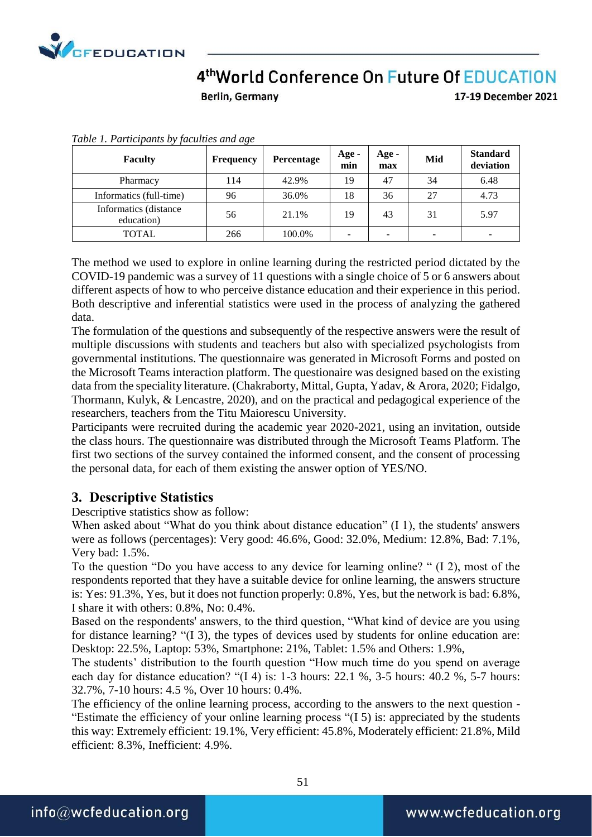

Berlin, Germany

17-19 December 2021

| <b>Faculty</b>                      | <b>Frequency</b> | Percentage | Age -<br>min | Age -<br>max | Mid                      | <b>Standard</b><br>deviation |
|-------------------------------------|------------------|------------|--------------|--------------|--------------------------|------------------------------|
| Pharmacy                            | 114              | 42.9%      | 19           | 47           | 34                       | 6.48                         |
| Informatics (full-time)             | 96               | 36.0%      | 18           | 36           | 27                       | 4.73                         |
| Informatics (distance<br>education) | 56               | 21.1%      | 19           | 43           | 31                       | 5.97                         |
| <b>TOTAL</b>                        | 266              | 100.0%     | -            |              | $\overline{\phantom{0}}$ |                              |

*Table 1. Participants by faculties and age*

The method we used to explore in online learning during the restricted period dictated by the COVID-19 pandemic was a survey of 11 questions with a single choice of 5 or 6 answers about different aspects of how to who perceive distance education and their experience in this period. Both descriptive and inferential statistics were used in the process of analyzing the gathered data.

The formulation of the questions and subsequently of the respective answers were the result of multiple discussions with students and teachers but also with specialized psychologists from governmental institutions. The questionnaire was generated in Microsoft Forms and posted on the Microsoft Teams interaction platform. The questionaire was designed based on the existing data from the speciality literature. (Chakraborty, Mittal, Gupta, Yadav, & Arora, 2020; Fidalgo, Thormann, Kulyk, & Lencastre, 2020), and on the practical and pedagogical experience of the researchers, teachers from the Titu Maiorescu University.

Participants were recruited during the academic year 2020-2021, using an invitation, outside the class hours. The questionnaire was distributed through the Microsoft Teams Platform. The first two sections of the survey contained the informed consent, and the consent of processing the personal data, for each of them existing the answer option of YES/NO.

#### **3. Descriptive Statistics**

Descriptive statistics show as follow:

When asked about "What do you think about distance education" (I 1), the students' answers were as follows (percentages): Very good: 46.6%, Good: 32.0%, Medium: 12.8%, Bad: 7.1%, Very bad: 1.5%.

To the question "Do you have access to any device for learning online? " (I 2), most of the respondents reported that they have a suitable device for online learning, the answers structure is: Yes: 91.3%, Yes, but it does not function properly: 0.8%, Yes, but the network is bad: 6.8%, I share it with others: 0.8%, No: 0.4%.

Based on the respondents' answers, to the third question, "What kind of device are you using for distance learning? "(I 3), the types of devices used by students for online education are: Desktop: 22.5%, Laptop: 53%, Smartphone: 21%, Tablet: 1.5% and Others: 1.9%,

The students' distribution to the fourth question "How much time do you spend on average each day for distance education? "(I 4) is: 1-3 hours: 22.1 %, 3-5 hours: 40.2 %, 5-7 hours: 32.7%, 7-10 hours: 4.5 %, Over 10 hours: 0.4%.

The efficiency of the online learning process, according to the answers to the next question - "Estimate the efficiency of your online learning process "(I 5) is: appreciated by the students this way: Extremely efficient: 19.1%, Very efficient: 45.8%, Moderately efficient: 21.8%, Mild efficient: 8.3%, Inefficient: 4.9%.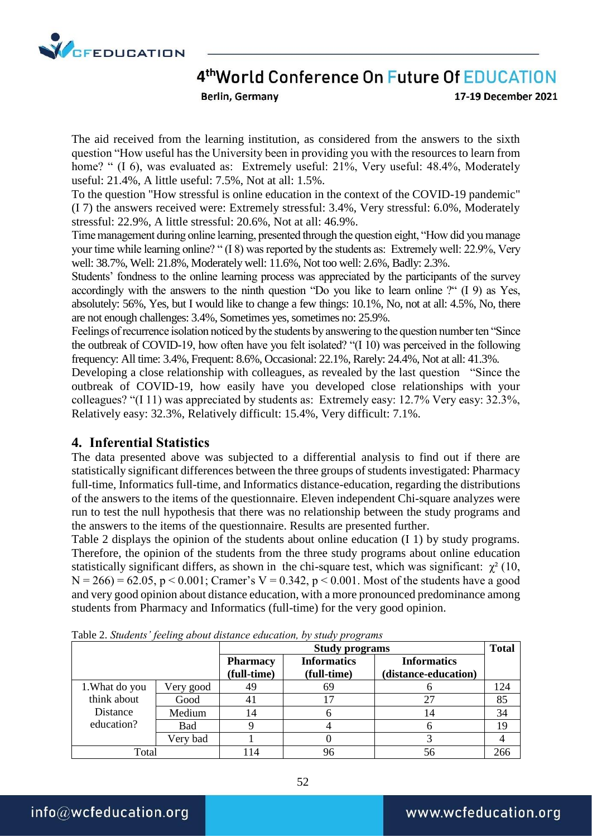

Berlin, Germany

The aid received from the learning institution, as considered from the answers to the sixth question "How useful has the University been in providing you with the resources to learn from home? " (I 6), was evaluated as: Extremely useful: 21%, Very useful: 48.4%, Moderately useful: 21.4%, A little useful: 7.5%, Not at all: 1.5%.

To the question "How stressful is online education in the context of the COVID-19 pandemic" (I 7) the answers received were: Extremely stressful: 3.4%, Very stressful: 6.0%, Moderately stressful: 22.9%, A little stressful: 20.6%, Not at all: 46.9%.

Time management during online learning, presented through the question eight, "How did you manage your time while learning online? " (I 8) was reported by the students as: Extremely well: 22.9%, Very well: 38.7%, Well: 21.8%, Moderately well: 11.6%, Not too well: 2.6%, Badly: 2.3%.

Students' fondness to the online learning process was appreciated by the participants of the survey accordingly with the answers to the ninth question "Do you like to learn online ?" (I 9) as Yes, absolutely: 56%, Yes, but I would like to change a few things: 10.1%, No, not at all: 4.5%, No, there are not enough challenges: 3.4%, Sometimes yes, sometimes no: 25.9%.

Feelings of recurrence isolation noticed by the students by answering to the question number ten "Since the outbreak of COVID-19, how often have you felt isolated? "(I 10) was perceived in the following frequency: All time: 3.4%, Frequent: 8.6%, Occasional: 22.1%, Rarely: 24.4%, Not at all: 41.3%.

Developing a close relationship with colleagues, as revealed by the last question "Since the outbreak of COVID-19, how easily have you developed close relationships with your colleagues? "(I 11) was appreciated by students as: Extremely easy: 12.7% Very easy: 32.3%, Relatively easy: 32.3%, Relatively difficult: 15.4%, Very difficult: 7.1%.

#### **4. Inferential Statistics**

The data presented above was subjected to a differential analysis to find out if there are statistically significant differences between the three groups of students investigated: Pharmacy full-time, Informatics full-time, and Informatics distance-education, regarding the distributions of the answers to the items of the questionnaire. Eleven independent Chi-square analyzes were run to test the null hypothesis that there was no relationship between the study programs and the answers to the items of the questionnaire. Results are presented further.

Table 2 displays the opinion of the students about online education (I 1) by study programs. Therefore, the opinion of the students from the three study programs about online education statistically significant differs, as shown in the chi-square test, which was significant:  $\chi^2$  (10,  $N = 266$  = 62.05, p < 0.001; Cramer's V = 0.342, p < 0.001. Most of the students have a good and very good opinion about distance education, with a more pronounced predominance among students from Pharmacy and Informatics (full-time) for the very good opinion.

|                |            |                                | <b>Study programs</b>             |                                            |     |  |  |  |
|----------------|------------|--------------------------------|-----------------------------------|--------------------------------------------|-----|--|--|--|
|                |            | <b>Pharmacy</b><br>(full-time) | <b>Informatics</b><br>(full-time) | <b>Informatics</b><br>(distance-education) |     |  |  |  |
| 1. What do you | Very good  | 49                             | 69                                |                                            | 124 |  |  |  |
| think about    | Good       | 41                             |                                   | 27                                         | 85  |  |  |  |
| Distance       | Medium     | 14                             |                                   | 14                                         | 34  |  |  |  |
| education?     | <b>Bad</b> |                                |                                   |                                            | 19  |  |  |  |
|                | Very bad   |                                |                                   |                                            |     |  |  |  |
| Total          |            | 114                            | 96                                | 56                                         | 266 |  |  |  |

Table 2. *Students' feeling about distance education, by study programs*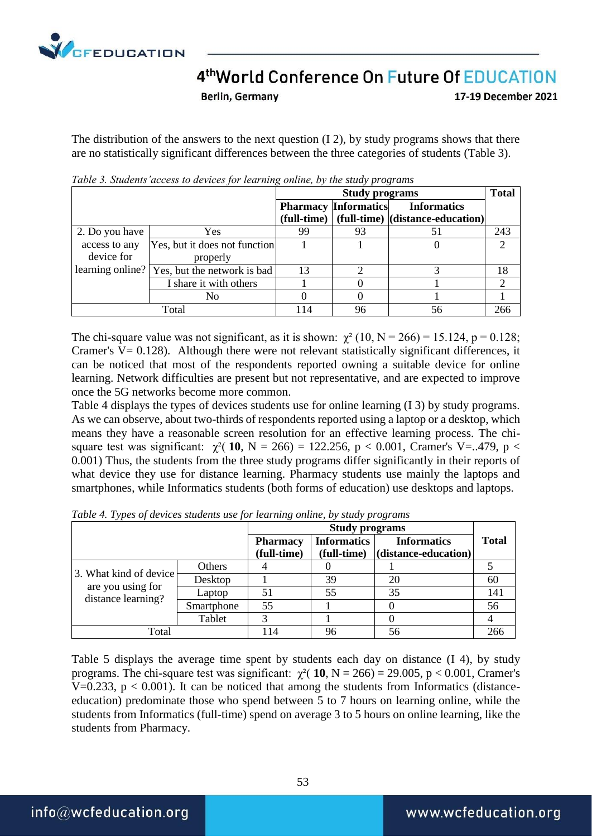

Berlin, Germany

17-19 December 2021

The distribution of the answers to the next question (I 2), by study programs shows that there are no statistically significant differences between the three categories of students (Table 3).

|                |                                              |     | <b>Total</b>                |                                                     |     |
|----------------|----------------------------------------------|-----|-----------------------------|-----------------------------------------------------|-----|
|                |                                              |     | <b>Pharmacy Informatics</b> | <b>Informatics</b>                                  |     |
|                |                                              |     |                             | $(full-time)$ $(full-time)$ $(distance\)-eduction)$ |     |
| 2. Do you have | <b>Yes</b>                                   | 99  | 93                          |                                                     | 243 |
| access to any  | Yes, but it does not function                |     |                             |                                                     |     |
| device for     | properly                                     |     |                             |                                                     |     |
|                | learning online? Yes, but the network is bad | 13  |                             |                                                     | 18  |
|                | I share it with others                       |     |                             |                                                     |     |
|                | No                                           |     |                             |                                                     |     |
|                | Total                                        | 114 | 96                          | 56                                                  | 266 |

*Table 3. Students'access to devices for learning online, by the study programs*

The chi-square value was not significant, as it is shown:  $\chi^2$  (10, N = 266) = 15.124, p = 0.128; Cramer's  $V = 0.128$ ). Although there were not relevant statistically significant differences, it can be noticed that most of the respondents reported owning a suitable device for online learning. Network difficulties are present but not representative, and are expected to improve once the 5G networks become more common.

Table 4 displays the types of devices students use for online learning (I 3) by study programs. As we can observe, about two-thirds of respondents reported using a laptop or a desktop, which means they have a reasonable screen resolution for an effective learning process. The chisquare test was significant:  $\chi^2$ ([10](http://web.a.ebscohost.com/ehost/detail/detail?vid=0&sid=b8c94b05-7473-425c-80d9-345eba1f7686%40sdc-v-sessmgr03&bdata=JnNpdGU9ZWhvc3QtbGl2ZQ%3d%3d#bib2), N = 266) = 122.256, p < 0.001, Cramer's V=..479, p < 0.001) Thus, the students from the three study programs differ significantly in their reports of what device they use for distance learning. Pharmacy students use mainly the laptops and smartphones, while Informatics students (both forms of education) use desktops and laptops.

|                                                                   |            |                                | <b>Study programs</b>             |                                                    |              |  |
|-------------------------------------------------------------------|------------|--------------------------------|-----------------------------------|----------------------------------------------------|--------------|--|
|                                                                   |            | <b>Pharmacy</b><br>(full-time) | <b>Informatics</b><br>(full-time) | <b>Informatics</b><br>$\vert$ (distance-education) | <b>Total</b> |  |
| 3. What kind of device<br>are you using for<br>distance learning? | Others     |                                |                                   |                                                    |              |  |
|                                                                   | Desktop    |                                | 39                                | 20                                                 | 60           |  |
|                                                                   | Laptop     | 51                             | 55                                | 35                                                 | 141          |  |
|                                                                   | Smartphone | 55                             |                                   |                                                    | 56           |  |
|                                                                   | Tablet     |                                |                                   |                                                    |              |  |
| Total                                                             |            | 114                            | 96                                | 56                                                 |              |  |

*Table 4. Types of devices students use for learning online, by study programs*

Table 5 displays the average time spent by students each day on distance (I 4), by study programs. The chi-square test was significant:  $\chi^2$  ([10](http://web.a.ebscohost.com/ehost/detail/detail?vid=0&sid=b8c94b05-7473-425c-80d9-345eba1f7686%40sdc-v-sessmgr03&bdata=JnNpdGU9ZWhvc3QtbGl2ZQ%3d%3d#bib2), N = 266) = 29.005, p < 0.001, Cramer's V=0.233,  $p < 0.001$ ). It can be noticed that among the students from Informatics (distanceeducation) predominate those who spend between 5 to 7 hours on learning online, while the students from Informatics (full-time) spend on average 3 to 5 hours on online learning, like the students from Pharmacy.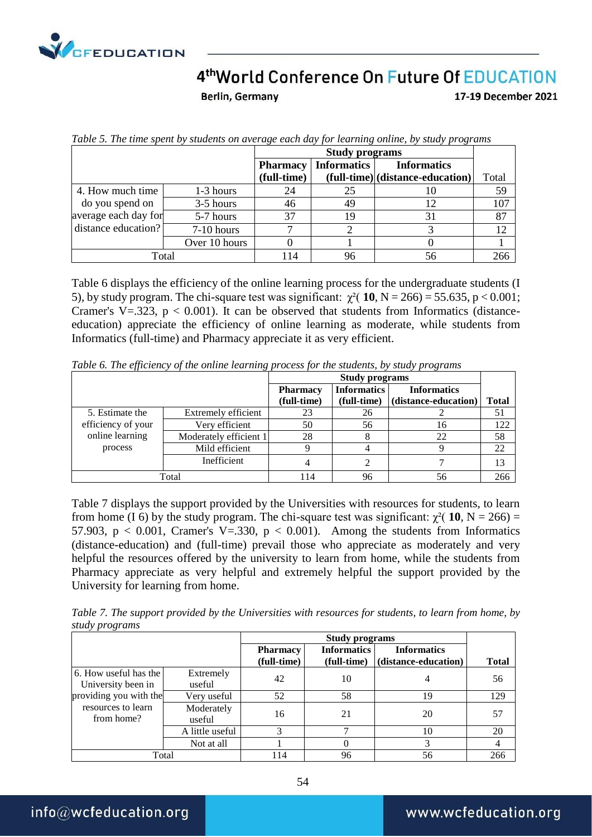

Berlin, Germany

17-19 December 2021

|                      |               |                 | <b>Study programs</b> |                                  |       |  |
|----------------------|---------------|-----------------|-----------------------|----------------------------------|-------|--|
|                      |               | <b>Pharmacy</b> | <b>Informatics</b>    | <b>Informatics</b>               |       |  |
|                      |               | (full-time)     |                       | (full-time) (distance-education) | Total |  |
| 4. How much time     | 1-3 hours     | 24              | 25                    | 10                               | 59    |  |
| do you spend on      | 3-5 hours     | 46              | 49                    | 12                               | 107   |  |
| average each day for | 5-7 hours     | 37              |                       | 31                               | 87    |  |
| distance education?  | 7-10 hours    |                 |                       |                                  |       |  |
|                      | Over 10 hours |                 |                       |                                  |       |  |
|                      | Total         | 114             | 96                    | 56                               | 266   |  |

*Table 5. The time spent by students on average each day for learning online, by study programs*

Table 6 displays the efficiency of the online learning process for the undergraduate students (I 5), by study program. The chi-square test was significant:  $\chi^2$ ( **[10](http://web.a.ebscohost.com/ehost/detail/detail?vid=0&sid=b8c94b05-7473-425c-80d9-345eba1f7686%40sdc-v-sessmgr03&bdata=JnNpdGU9ZWhvc3QtbGl2ZQ%3d%3d#bib2)**, N = 266) = 55.635, p < 0.001; Cramer's V=.323,  $p < 0.001$ ). It can be observed that students from Informatics (distanceeducation) appreciate the efficiency of online learning as moderate, while students from Informatics (full-time) and Pharmacy appreciate it as very efficient.

|                    |                        |                 | <b>Study programs</b> |                      |              |  |  |
|--------------------|------------------------|-----------------|-----------------------|----------------------|--------------|--|--|
|                    |                        | <b>Pharmacy</b> | <b>Informatics</b>    | <b>Informatics</b>   |              |  |  |
|                    |                        | (full-time)     | (full-time)           | (distance-education) | <b>Total</b> |  |  |
| 5. Estimate the    | Extremely efficient    | 23              | 26                    |                      | 51           |  |  |
| efficiency of your | Very efficient         | 50              | 56                    | 16                   | 122          |  |  |
| online learning    | Moderately efficient 1 | 28              |                       | 22                   | 58           |  |  |
| process            | Mild efficient         |                 |                       |                      | 22           |  |  |
|                    | Inefficient            |                 |                       |                      | 13           |  |  |
| Total              |                        | 114             | 96                    | 56                   | 266          |  |  |

*Table 6. The efficiency of the online learning process for the students, by study programs*

Table 7 displays the support provided by the Universities with resources for students, to learn from home (I 6) by the study program. The chi-square test was significant:  $\chi^2$ ( [10](http://web.a.ebscohost.com/ehost/detail/detail?vid=0&sid=b8c94b05-7473-425c-80d9-345eba1f7686%40sdc-v-sessmgr03&bdata=JnNpdGU9ZWhvc3QtbGl2ZQ%3d%3d#bib2), N = 266) = 57.903,  $p < 0.001$ , Cramer's V=.330,  $p < 0.001$ ). Among the students from Informatics (distance-education) and (full-time) prevail those who appreciate as moderately and very helpful the resources offered by the university to learn from home, while the students from Pharmacy appreciate as very helpful and extremely helpful the support provided by the University for learning from home.

*Table 7. The support provided by the Universities with resources for students, to learn from home, by study programs* 

|                                             |                      |                                | <b>Study programs</b>             |                                            |              |  |
|---------------------------------------------|----------------------|--------------------------------|-----------------------------------|--------------------------------------------|--------------|--|
|                                             |                      | <b>Pharmacy</b><br>(full-time) | <b>Informatics</b><br>(full-time) | <b>Informatics</b><br>(distance-education) | <b>Total</b> |  |
| 6. How useful has the<br>University been in | Extremely<br>useful  | 42                             | 10                                |                                            | 56           |  |
| providing you with the                      | Very useful          | 52                             | 58                                | 19                                         | 129          |  |
| resources to learn<br>from home?            | Moderately<br>useful | 16                             | 21                                | 20                                         | 57           |  |
|                                             | A little useful      |                                |                                   | 10                                         | 20           |  |
|                                             | Not at all           |                                | 0                                 | 3                                          | 4            |  |
| Total                                       |                      | 114                            | 96                                | 56                                         | 266          |  |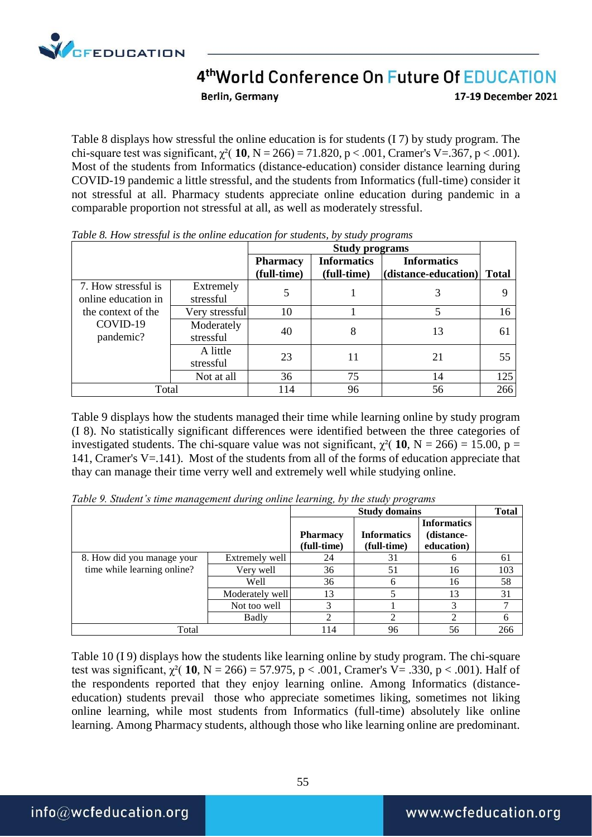

**Berlin, Germany** 

17-19 December 2021

Table 8 displays how stressful the online education is for students (I 7) by study program. The chi-square test was significant,  $χ²(10, N = 266) = 71.820, p < .001$  $χ²(10, N = 266) = 71.820, p < .001$  $χ²(10, N = 266) = 71.820, p < .001$ , Cramer's V=.367, p < .001). Most of the students from Informatics (distance-education) consider distance learning during COVID-19 pandemic a little stressful, and the students from Informatics (full-time) consider it not stressful at all. Pharmacy students appreciate online education during pandemic in a comparable proportion not stressful at all, as well as moderately stressful.

|                                            |                         |                                | <b>Study programs</b>             |                                            |              |  |
|--------------------------------------------|-------------------------|--------------------------------|-----------------------------------|--------------------------------------------|--------------|--|
|                                            |                         | <b>Pharmacy</b><br>(full-time) | <b>Informatics</b><br>(full-time) | <b>Informatics</b><br>(distance-education) | <b>Total</b> |  |
| 7. How stressful is<br>online education in | Extremely<br>stressful  |                                |                                   |                                            | q            |  |
| the context of the                         | Very stressful          | 10                             |                                   |                                            | 16           |  |
| COVID-19<br>pandemic?                      | Moderately<br>stressful | 40                             | 8                                 | 13                                         | 61           |  |
|                                            | A little<br>stressful   | 23                             | 11                                | 21                                         | 55           |  |
|                                            | Not at all              | 36                             | 75                                | 14                                         | 125          |  |
| Total                                      |                         | 114                            | 96                                | 56                                         | 266          |  |

*Table 8. How stressful is the online education for students, by study programs* 

Table 9 displays how the students managed their time while learning online by study program (I 8). No statistically significant differences were identified between the three categories of investigated students. The chi-square value was not significant,  $\chi^2$  ([10](http://web.a.ebscohost.com/ehost/detail/detail?vid=0&sid=b8c94b05-7473-425c-80d9-345eba1f7686%40sdc-v-sessmgr03&bdata=JnNpdGU9ZWhvc3QtbGl2ZQ%3d%3d#bib2), N = 266) = 15.00, p = 141, Cramer's V=.141). Most of the students from all of the forms of education appreciate that thay can manage their time verry well and extremely well while studying online.

| Table 9. Student's time management during online learning, by the study programs |                      |
|----------------------------------------------------------------------------------|----------------------|
|                                                                                  | <b>Study domains</b> |

|                             |                 |                                | <b>Total</b>                      |                                                |     |
|-----------------------------|-----------------|--------------------------------|-----------------------------------|------------------------------------------------|-----|
|                             |                 | <b>Pharmacy</b><br>(full-time) | <b>Informatics</b><br>(full-time) | <b>Informatics</b><br>(distance-<br>education) |     |
| 8. How did you manage your  | Extremely well  | 24                             | 31                                |                                                | 61  |
| time while learning online? | Very well       | 36                             | 51                                | 16                                             | 103 |
|                             | Well            | 36                             |                                   | 16                                             | 58  |
|                             | Moderately well | 13                             |                                   | 13                                             | 31  |
|                             | Not too well    | 3                              |                                   |                                                |     |
|                             | <b>Badly</b>    |                                |                                   |                                                |     |
| Total                       |                 | 114                            | 96                                | 56                                             | 266 |

Table 10 (I 9) displays how the students like learning online by study program. The chi-square test was significant,  $\chi^2$ ([10](http://web.a.ebscohost.com/ehost/detail/detail?vid=0&sid=b8c94b05-7473-425c-80d9-345eba1f7686%40sdc-v-sessmgr03&bdata=JnNpdGU9ZWhvc3QtbGl2ZQ%3d%3d#bib2), N = 266) = 57.975, p < .001, Cramer's V = .330, p < .001). Half of the respondents reported that they enjoy learning online. Among Informatics (distanceeducation) students prevail those who appreciate sometimes liking, sometimes not liking online learning, while most students from Informatics (full-time) absolutely like online learning. Among Pharmacy students, although those who like learning online are predominant.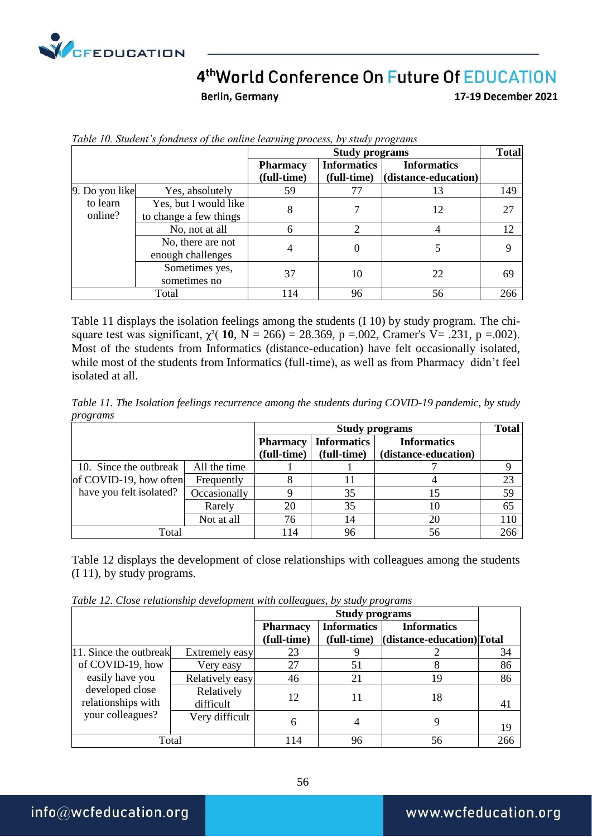

Berlin, Germany

17-19 December 2021

|                     |                                                 |                                | <b>Study programs</b>             |                                            | <b>Total</b> |
|---------------------|-------------------------------------------------|--------------------------------|-----------------------------------|--------------------------------------------|--------------|
|                     |                                                 | <b>Pharmacy</b><br>(full-time) | <b>Informatics</b><br>(full-time) | <b>Informatics</b><br>(distance-education) |              |
| 9. Do you like      | Yes, absolutely                                 | 59                             | 77                                | 13                                         | 149          |
| to learn<br>online? | Yes, but I would like<br>to change a few things | 8                              |                                   | 12                                         | 27           |
|                     | No, not at all                                  | 6                              |                                   | 4                                          | 12           |
|                     | No, there are not<br>enough challenges          | 4                              |                                   |                                            |              |
|                     | Sometimes yes,<br>sometimes no                  | 37                             | 10                                | 22                                         | 69           |
|                     | Total                                           | 114                            | 96                                | 56                                         | 266          |

*Table 10. Student's fondness of the online learning process, by study programs*

Table 11 displays the isolation feelings among the students (I 10) by study program. The chisquare test was significant,  $\chi^2$ ( **[10](http://web.a.ebscohost.com/ehost/detail/detail?vid=0&sid=b8c94b05-7473-425c-80d9-345eba1f7686%40sdc-v-sessmgr03&bdata=JnNpdGU9ZWhvc3QtbGl2ZQ%3d%3d#bib2)**, N = 266) = 28.369, p =.002, Cramer's V= .231, p =.002). Most of the students from Informatics (distance-education) have felt occasionally isolated, while most of the students from Informatics (full-time), as well as from Pharmacy didn't feel isolated at all.

*Table 11. The Isolation feelings recurrence among the students during COVID-19 pandemic, by study programs* 

|                         |              |                 | <b>Study programs</b> |                      |     |  |  |
|-------------------------|--------------|-----------------|-----------------------|----------------------|-----|--|--|
|                         |              | <b>Pharmacy</b> | <b>Informatics</b>    | <b>Informatics</b>   |     |  |  |
|                         |              | (full-time)     | (full-time)           | (distance-education) |     |  |  |
| 10. Since the outbreak  | All the time |                 |                       |                      |     |  |  |
| of COVID-19, how often  | Frequently   |                 |                       |                      | 23  |  |  |
| have you felt isolated? | Occasionally |                 | 35                    | 15                   | 59  |  |  |
|                         | Rarely       | 20              | 35                    | 10                   | 65  |  |  |
|                         | Not at all   | 76              | 14                    | 20                   | 110 |  |  |
| Total                   |              | 114             | 96                    | 56                   | 266 |  |  |

Table 12 displays the development of close relationships with colleagues among the students (I 11), by study programs.

|  | Table 12. Close relationship development with colleagues, by study programs |  |  |  |
|--|-----------------------------------------------------------------------------|--|--|--|

|                                       |                         | <b>Pharmacy</b> | <b>Informatics</b> | <b>Informatics</b>         |     |
|---------------------------------------|-------------------------|-----------------|--------------------|----------------------------|-----|
|                                       |                         | (full-time)     | (full-time)        | (distance-education) Total |     |
| 11. Since the outbreak                | Extremely easy          | 23              |                    |                            | 34  |
| of COVID-19, how                      | Very easy               | 27              | 51                 |                            | 86  |
| easily have you                       | Relatively easy         | 46              | 21                 | 19                         | 86  |
| developed close<br>relationships with | Relatively<br>difficult | 12              |                    | 18                         | 41  |
| your colleagues?                      | Very difficult          | 6               |                    |                            | 19  |
| Total                                 |                         | 114             | 96                 | 56                         | 266 |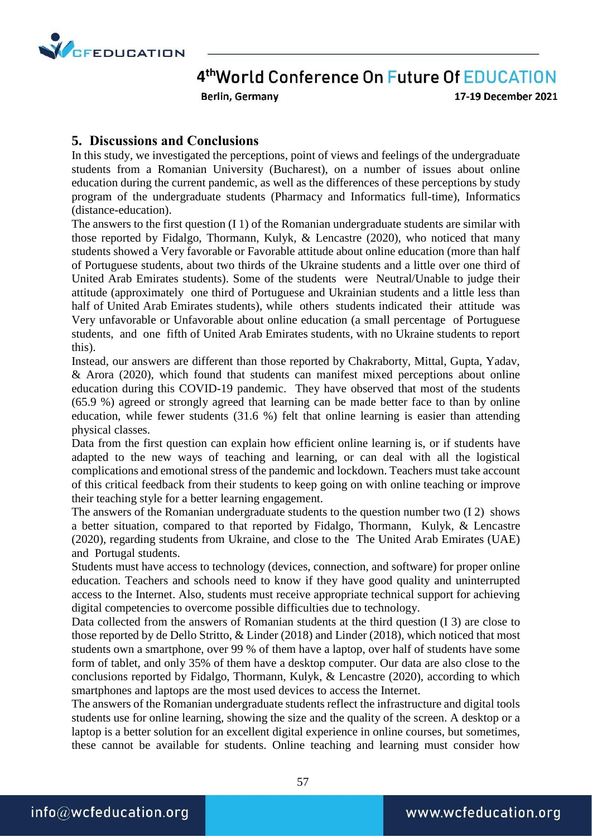

Berlin, Germany

17-19 December 2021

#### **5. Discussions and Conclusions**

In this study, we investigated the perceptions, point of views and feelings of the undergraduate students from a Romanian University (Bucharest), on a number of issues about online education during the current pandemic, as well as the differences of these perceptions by study program of the undergraduate students (Pharmacy and Informatics full-time), Informatics (distance-education).

The answers to the first question (I 1) of the Romanian undergraduate students are similar with those reported by Fidalgo, Thormann, Kulyk, & Lencastre (2020), who noticed that many students showed a Very favorable or Favorable attitude about online education (more than half of Portuguese students, about two thirds of the Ukraine students and a little over one third of United Arab Emirates students). Some of the students were Neutral/Unable to judge their attitude (approximately one third of Portuguese and Ukrainian students and a little less than half of United Arab Emirates students), while others students indicated their attitude was Very unfavorable or Unfavorable about online education (a small percentage of Portuguese students, and one fifth of United Arab Emirates students, with no Ukraine students to report this).

Instead, our answers are different than those reported by Chakraborty, Mittal, Gupta, Yadav, & Arora (2020), which found that students can manifest mixed perceptions about online education during this COVID-19 pandemic. They have observed that most of the students (65.9 %) agreed or strongly agreed that learning can be made better face to than by online education, while fewer students (31.6 %) felt that online learning is easier than attending physical classes.

Data from the first question can explain how efficient online learning is, or if students have adapted to the new ways of teaching and learning, or can deal with all the logistical complications and emotional stress of the pandemic and lockdown. Teachers must take account of this critical feedback from their students to keep going on with online teaching or improve their teaching style for a better learning engagement.

The answers of the Romanian undergraduate students to the question number two (I 2) shows a better situation, compared to that reported by Fidalgo, Thormann, Kulyk, & Lencastre (2020), regarding students from Ukraine, and close to the The United Arab Emirates (UAE) and Portugal students.

Students must have access to technology (devices, connection, and software) for proper online education. Teachers and schools need to know if they have good quality and uninterrupted access to the Internet. Also, students must receive appropriate technical support for achieving digital competencies to overcome possible difficulties due to technology.

Data collected from the answers of Romanian students at the third question (I 3) are close to those reported by de Dello Stritto, & Linder (2018) and Linder (2018), which noticed that most students own a smartphone, over 99 % of them have a laptop, over half of students have some form of tablet, and only 35% of them have a desktop computer. Our data are also close to the conclusions reported by Fidalgo, Thormann, Kulyk, & Lencastre (2020), according to which smartphones and laptops are the most used devices to access the Internet.

The answers of the Romanian undergraduate students reflect the infrastructure and digital tools students use for online learning, showing the size and the quality of the screen. A desktop or a laptop is a better solution for an excellent digital experience in online courses, but sometimes, these cannot be available for students. Online teaching and learning must consider how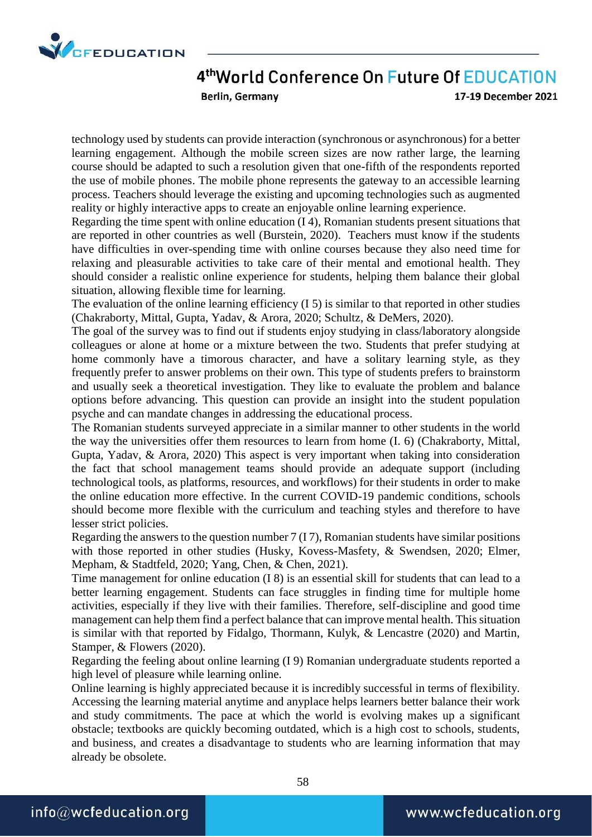

Berlin, Germany

17-19 December 2021

technology used by students can provide interaction (synchronous or asynchronous) for a better learning engagement. Although the mobile screen sizes are now rather large, the learning course should be adapted to such a resolution given that one-fifth of the respondents reported the use of mobile phones. The mobile phone represents the gateway to an accessible learning process. Teachers should leverage the existing and upcoming technologies such as augmented reality or highly interactive apps to create an enjoyable online learning experience.

Regarding the time spent with online education (I 4), Romanian students present situations that are reported in other countries as well (Burstein, 2020). Teachers must know if the students have difficulties in over-spending time with online courses because they also need time for relaxing and pleasurable activities to take care of their mental and emotional health. They should consider a realistic online experience for students, helping them balance their global situation, allowing flexible time for learning.

The evaluation of the online learning efficiency (I 5) is similar to that reported in other studies (Chakraborty, Mittal, Gupta, Yadav, & Arora, 2020; Schultz, & DeMers, 2020).

The goal of the survey was to find out if students enjoy studying in class/laboratory alongside colleagues or alone at home or a mixture between the two. Students that prefer studying at home commonly have a timorous character, and have a solitary learning style, as they frequently prefer to answer problems on their own. This type of students prefers to brainstorm and usually seek a theoretical investigation. They like to evaluate the problem and balance options before advancing. This question can provide an insight into the student population psyche and can mandate changes in addressing the educational process.

The Romanian students surveyed appreciate in a similar manner to other students in the world the way the universities offer them resources to learn from home (I. 6) (Chakraborty, Mittal, Gupta, Yadav, & Arora, 2020) This aspect is very important when taking into consideration the fact that school management teams should provide an adequate support (including technological tools, as platforms, resources, and workflows) for their students in order to make the online education more effective. In the current COVID-19 pandemic conditions, schools should become more flexible with the curriculum and teaching styles and therefore to have lesser strict policies.

Regarding the answers to the question number 7 (I 7), Romanian students have similar positions with those reported in other studies (Husky, Kovess-Masfety, & Swendsen, 2020; Elmer, Mepham, & Stadtfeld, 2020; Yang, Chen, & Chen, 2021).

Time management for online education (I 8) is an essential skill for students that can lead to a better learning engagement. Students can face struggles in finding time for multiple home activities, especially if they live with their families. Therefore, self-discipline and good time management can help them find a perfect balance that can improve mental health. This situation is similar with that reported by Fidalgo, Thormann, Kulyk, & Lencastre (2020) and Martin, Stamper, & Flowers (2020).

Regarding the feeling about online learning (I 9) Romanian undergraduate students reported a high level of pleasure while learning online.

Online learning is highly appreciated because it is incredibly successful in terms of flexibility. Accessing the learning material anytime and anyplace helps learners better balance their work and study commitments. The pace at which the world is evolving makes up a significant obstacle; textbooks are quickly becoming outdated, which is a high cost to schools, students, and business, and creates a disadvantage to students who are learning information that may already be obsolete.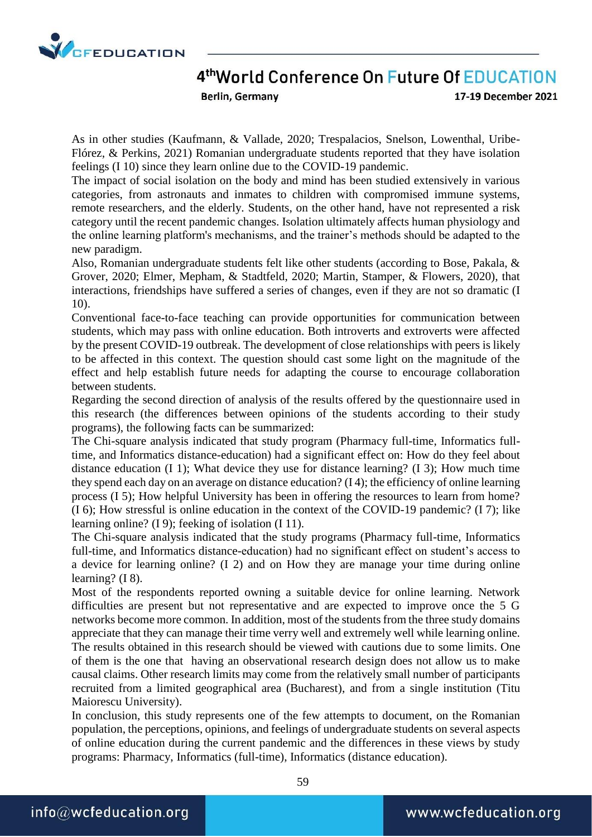

Berlin, Germany

17-19 December 2021

As in other studies (Kaufmann, & Vallade, 2020; Trespalacios, Snelson, Lowenthal, Uribe-Flórez, & Perkins, 2021) Romanian undergraduate students reported that they have isolation feelings (I 10) since they learn online due to the COVID-19 pandemic.

The impact of social isolation on the body and mind has been studied extensively in various categories, from astronauts and inmates to children with compromised immune systems, remote researchers, and the elderly. Students, on the other hand, have not represented a risk category until the recent pandemic changes. Isolation ultimately affects human physiology and the online learning platform's mechanisms, and the trainer's methods should be adapted to the new paradigm.

Also, Romanian undergraduate students felt like other students (according to Bose, Pakala, & Grover, 2020; Elmer, Mepham, & Stadtfeld, 2020; Martin, Stamper, & Flowers, 2020), that interactions, friendships have suffered a series of changes, even if they are not so dramatic (I 10).

Conventional face-to-face teaching can provide opportunities for communication between students, which may pass with online education. Both introverts and extroverts were affected by the present COVID-19 outbreak. The development of close relationships with peers is likely to be affected in this context. The question should cast some light on the magnitude of the effect and help establish future needs for adapting the course to encourage collaboration between students.

Regarding the second direction of analysis of the results offered by the questionnaire used in this research (the differences between opinions of the students according to their study programs), the following facts can be summarized:

The Chi-square analysis indicated that study program (Pharmacy full-time, Informatics fulltime, and Informatics distance-education) had a significant effect on: How do they feel about distance education (I 1); What device they use for distance learning? (I 3); How much time they spend each day on an average on distance education? (I 4); the efficiency of online learning process (I 5); How helpful University has been in offering the resources to learn from home? (I 6); How stressful is online education in the context of the COVID-19 pandemic? (I 7); like learning online? (I 9); feeking of isolation (I 11).

The Chi-square analysis indicated that the study programs (Pharmacy full-time, Informatics full-time, and Informatics distance-education) had no significant effect on student's access to a device for learning online? (I 2) and on How they are manage your time during online learning? (I 8).

Most of the respondents reported owning a suitable device for online learning. Network difficulties are present but not representative and are expected to improve once the 5 G networks become more common. In addition, most of the students from the three study domains appreciate that they can manage their time verry well and extremely well while learning online. The results obtained in this research should be viewed with cautions due to some limits. One of them is the one that having an observational research design does not allow us to make causal claims. Other research limits may come from the relatively small number of participants recruited from a limited geographical area (Bucharest), and from a single institution (Titu Maiorescu University).

In conclusion, this study represents one of the few attempts to document, on the Romanian population, the perceptions, opinions, and feelings of undergraduate students on several aspects of online education during the current pandemic and the differences in these views by study programs: Pharmacy, Informatics (full-time), Informatics (distance education).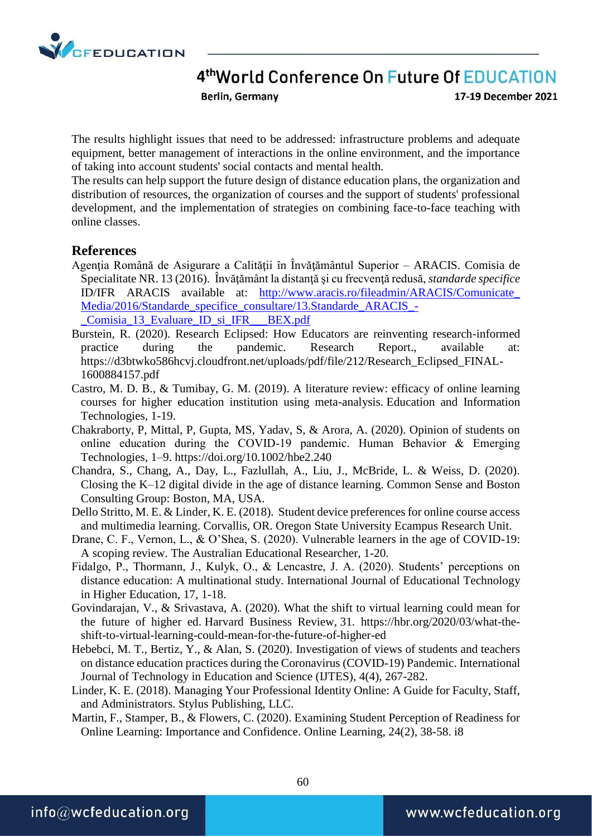

Berlin, Germany

17-19 December 2021

The results highlight issues that need to be addressed: infrastructure problems and adequate equipment, better management of interactions in the online environment, and the importance of taking into account students' social contacts and mental health.

The results can help support the future design of distance education plans, the organization and distribution of resources, the organization of courses and the support of students' professional development, and the implementation of strategies on combining face-to-face teaching with online classes.

#### **References**

- Agenţia Română de Asigurare a Calităţii în Învăţământul Superior ARACIS. Comisia de Specialitate NR. 13 (2016). Învăţământ la distanţă şi cu frecvenţă redusă, *standarde specifice* ID/IFR ARACIS available at: [http://www.aracis.ro/fileadmin/ARACIS/Comunicate\\_](http://www.aracis.ro/fileadmin/ARACIS/Comunicate_Media/2016/Standarde_specifice_consultare/13.Standarde_ARACIS_-_Comisia_13_Evaluare_ID_si_IFR___BEX.pdf) [Media/2016/Standarde\\_specifice\\_consultare/13.Standarde\\_ARACIS\\_-](http://www.aracis.ro/fileadmin/ARACIS/Comunicate_Media/2016/Standarde_specifice_consultare/13.Standarde_ARACIS_-_Comisia_13_Evaluare_ID_si_IFR___BEX.pdf) [\\_Comisia\\_13\\_Evaluare\\_ID\\_si\\_IFR\\_\\_\\_BEX.pdf](http://www.aracis.ro/fileadmin/ARACIS/Comunicate_Media/2016/Standarde_specifice_consultare/13.Standarde_ARACIS_-_Comisia_13_Evaluare_ID_si_IFR___BEX.pdf)
- Burstein, R. (2020). Research Eclipsed: How Educators are reinventing research-informed practice during the pandemic. Research Report., available at: [https://d3btwko586hcvj.cloudfront.net/uploads/pdf/file/212/Research\\_Eclipsed\\_FINAL-](https://d3btwko586hcvj.cloudfront.net/uploads/pdf/file/212/Research_Eclipsed_FINAL-1600884157.pdf)[1600884157.pdf](https://d3btwko586hcvj.cloudfront.net/uploads/pdf/file/212/Research_Eclipsed_FINAL-1600884157.pdf)
- Castro, M. D. B., & Tumibay, G. M. (2019). A literature review: efficacy of online learning courses for higher education institution using meta-analysis. Education and Information Technologies, 1-19.
- Chakraborty, P, Mittal, P, Gupta, MS, Yadav, S, & Arora, A. (2020). Opinion of students on online education during the COVID‐19 pandemic. Human Behavior & Emerging Technologies, 1–9.<https://doi.org/10.1002/hbe2.240>
- Chandra, S., Chang, A., Day, L., Fazlullah, A., Liu, J., McBride, L. & Weiss, D. (2020). Closing the K–12 digital divide in the age of distance learning. Common Sense and Boston Consulting Group: Boston, MA, USA.
- Dello Stritto, M. E. & Linder, K. E. (2018). Student device preferences for online course access and multimedia learning. Corvallis, OR. Oregon State University Ecampus Research Unit.
- Drane, C. F., Vernon, L., & O'Shea, S. (2020). Vulnerable learners in the age of COVID-19: A scoping review. The Australian Educational Researcher, 1-20.
- Fidalgo, P., Thormann, J., Kulyk, O., & Lencastre, J. A. (2020). Students' perceptions on distance education: A multinational study. International Journal of Educational Technology in Higher Education, 17, 1-18.
- Govindarajan, V., & Srivastava, A. (2020). What the shift to virtual learning could mean for the future of higher ed. Harvard Business Review, 31. [https://hbr.org/2020/03/what-the](https://hbr.org/2020/03/what-the-shift-to-virtual-learning-could-mean-for-the-future-of-higher-ed)[shift-to-virtual-learning-could-mean-for-the-future-of-higher-ed](https://hbr.org/2020/03/what-the-shift-to-virtual-learning-could-mean-for-the-future-of-higher-ed)
- Hebebci, M. T., Bertiz, Y., & Alan, S. (2020). Investigation of views of students and teachers on distance education practices during the Coronavirus (COVID-19) Pandemic. International Journal of Technology in Education and Science (IJTES), 4(4), 267-282.
- Linder, K. E. (2018). Managing Your Professional Identity Online: A Guide for Faculty, Staff, and Administrators. Stylus Publishing, LLC.
- Martin, F., Stamper, B., & Flowers, C. (2020). Examining Student Perception of Readiness for Online Learning: Importance and Confidence. Online Learning, 24(2), 38-58. i8